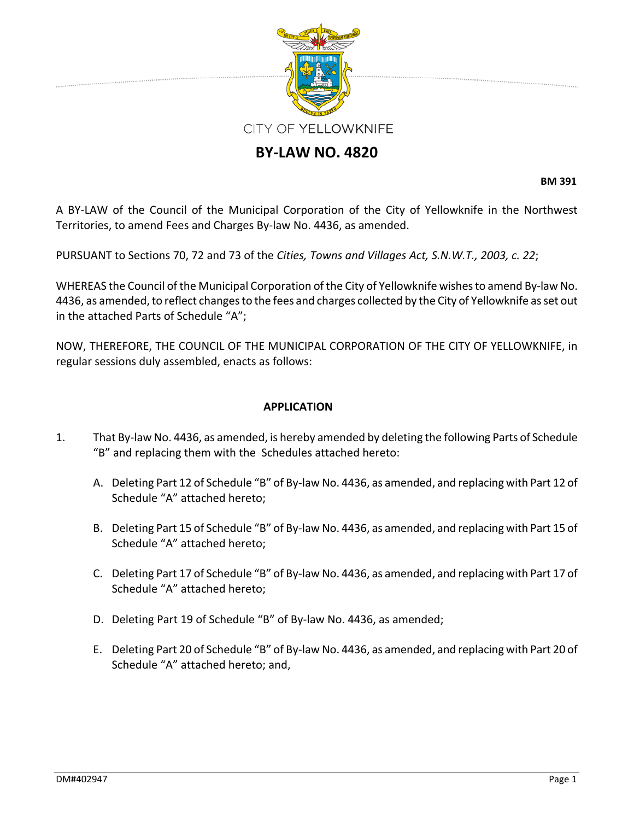

# **BY‐LAW NO. 4820**

**BM 391**

A BY‐LAW of the Council of the Municipal Corporation of the City of Yellowknife in the Northwest Territories, to amend Fees and Charges By‐law No. 4436, as amended.

PURSUANT to Sections 70, 72 and 73 of the *Cities, Towns and Villages Act, S.N.W.T., 2003, c. 22*;

WHEREAS the Council of the Municipal Corporation of the City of Yellowknife wishesto amend By‐law No. 4436, as amended, to reflect changes to the fees and charges collected by the City of Yellowknife as set out in the attached Parts of Schedule "A";

NOW, THEREFORE, THE COUNCIL OF THE MUNICIPAL CORPORATION OF THE CITY OF YELLOWKNIFE, in regular sessions duly assembled, enacts as follows:

#### **APPLICATION**

- 1. That By‐law No. 4436, as amended, is hereby amended by deleting the following Parts of Schedule "B" and replacing them with the Schedules attached hereto:
	- A. Deleting Part 12 of Schedule "B" of By-law No. 4436, as amended, and replacing with Part 12 of Schedule "A" attached hereto;
	- B. Deleting Part 15 of Schedule "B" of By-law No. 4436, as amended, and replacing with Part 15 of Schedule "A" attached hereto;
	- C. Deleting Part 17 of Schedule "B" of By‐law No. 4436, as amended, and replacing with Part 17 of Schedule "A" attached hereto;
	- D. Deleting Part 19 of Schedule "B" of By-law No. 4436, as amended;
	- E. Deleting Part 20 of Schedule "B" of By‐law No. 4436, as amended, and replacing with Part 20 of Schedule "A" attached hereto; and,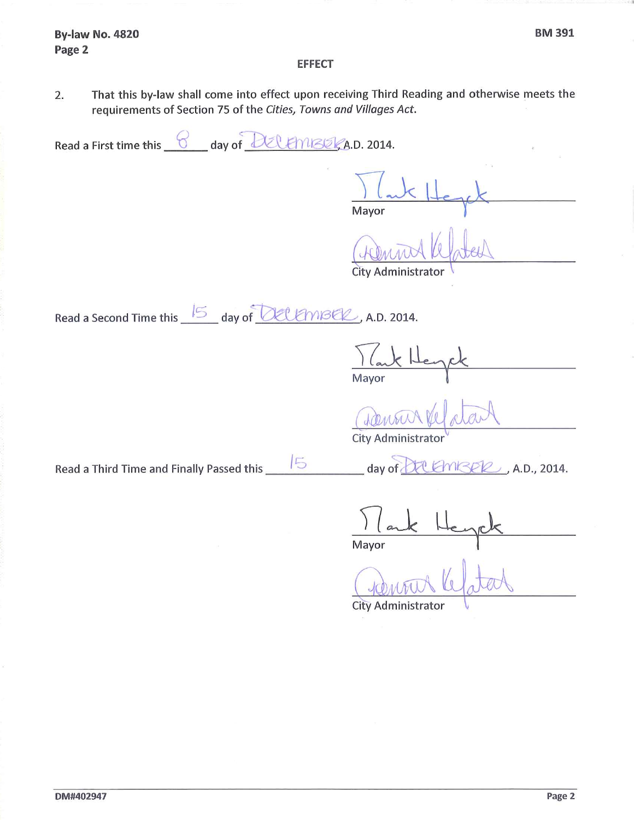#### **EFFECT**

That this by-law shall come into effect upon receiving Third Reading and otherwise meets the  $2.$ requirements of Section 75 of the Cities, Towns and Villages Act.

| $\frac{1}{\sqrt{2}}$ day of $\frac{1}{\sqrt{2}}$<br>CEMISER A.D. 2014.<br>Read a First time this |                                                                                                                 |  |
|--------------------------------------------------------------------------------------------------|-----------------------------------------------------------------------------------------------------------------|--|
|                                                                                                  | Mayor                                                                                                           |  |
|                                                                                                  |                                                                                                                 |  |
|                                                                                                  | <b>City Administrator</b>                                                                                       |  |
| Read a Second Time this 5 day of <b>OCCEMBER</b> , A.D. 2014.                                    |                                                                                                                 |  |
|                                                                                                  | Mayor                                                                                                           |  |
|                                                                                                  | Comma de ata<br><b>City Administrator</b>                                                                       |  |
|                                                                                                  |                                                                                                                 |  |
| 15<br>Read a Third Time and Finally Passed this                                                  | $\rule{1em}{0.15mm}$ day of $\bigcup$ (AMISER , A.D., 2014.                                                     |  |
|                                                                                                  | and the state of the state of the state of the state of the state of the state of the state of the state of the |  |

Weyck  $|$  a Mayor

**City Administrator**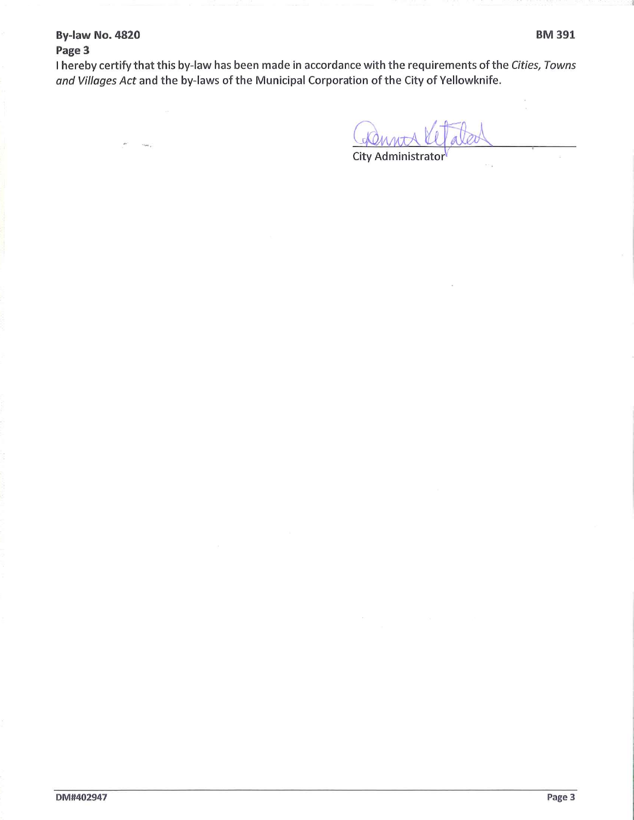## **By-law No. 4820** Page 3

I hereby certify that this by-law has been made in accordance with the requirements of the Cities, Towns and Villages Act and the by-laws of the Municipal Corporation of the City of Yellowknife.

City Administrator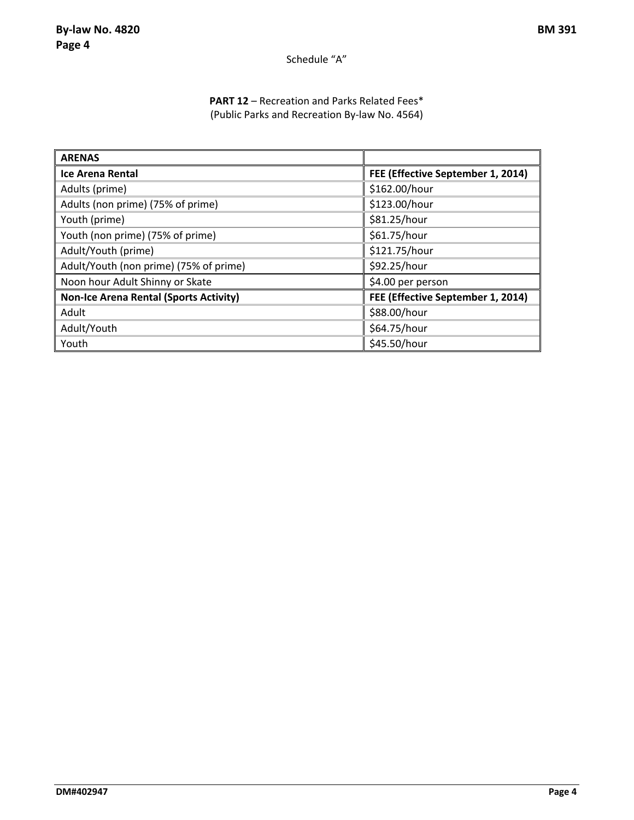## Schedule "A"

## **PART 12** – Recreation and Parks Related Fees\* (Public Parks and Recreation By‐law No. 4564)

| <b>ARENAS</b>                                 |                                   |
|-----------------------------------------------|-----------------------------------|
| <b>Ice Arena Rental</b>                       | FEE (Effective September 1, 2014) |
| Adults (prime)                                | \$162.00/hour                     |
| Adults (non prime) (75% of prime)             | \$123.00/hour                     |
| Youth (prime)                                 | \$81.25/hour                      |
| Youth (non prime) (75% of prime)              | \$61.75/hour                      |
| Adult/Youth (prime)                           | \$121.75/hour                     |
| Adult/Youth (non prime) (75% of prime)        | \$92.25/hour                      |
| Noon hour Adult Shinny or Skate               | \$4.00 per person                 |
| <b>Non-Ice Arena Rental (Sports Activity)</b> | FEE (Effective September 1, 2014) |
| Adult                                         | \$88.00/hour                      |
| Adult/Youth                                   | \$64.75/hour                      |
| Youth                                         | \$45.50/hour                      |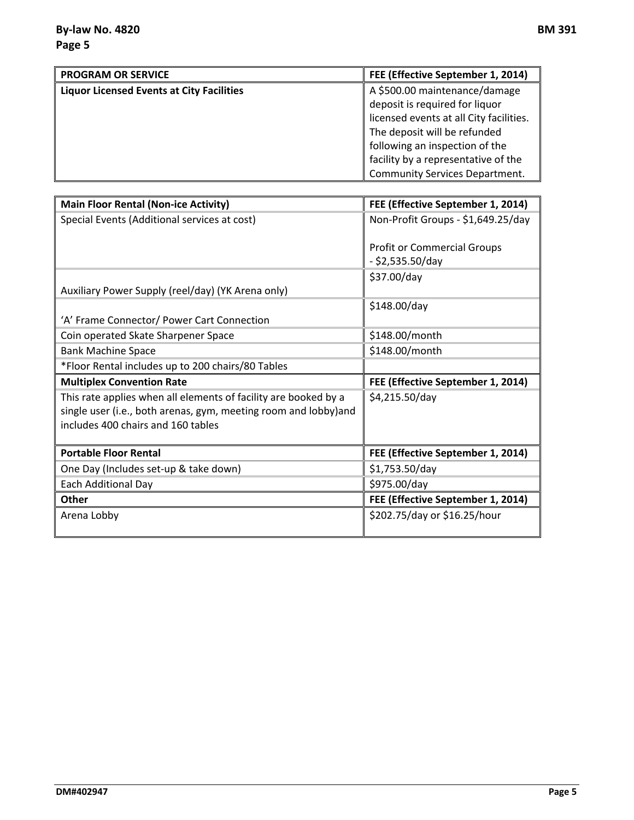| <b>PROGRAM OR SERVICE</b>                        | FEE (Effective September 1, 2014)       |
|--------------------------------------------------|-----------------------------------------|
| <b>Liquor Licensed Events at City Facilities</b> | A \$500.00 maintenance/damage           |
|                                                  | deposit is required for liquor          |
|                                                  | licensed events at all City facilities. |
|                                                  | The deposit will be refunded            |
|                                                  | following an inspection of the          |
|                                                  | facility by a representative of the     |
|                                                  | <b>Community Services Department.</b>   |

| <b>Main Floor Rental (Non-ice Activity)</b>                     | FEE (Effective September 1, 2014)  |
|-----------------------------------------------------------------|------------------------------------|
| Special Events (Additional services at cost)                    | Non-Profit Groups - \$1,649.25/day |
|                                                                 |                                    |
|                                                                 | <b>Profit or Commercial Groups</b> |
|                                                                 | $-$ \$2,535.50/day                 |
|                                                                 | \$37.00/day                        |
| Auxiliary Power Supply (reel/day) (YK Arena only)               |                                    |
|                                                                 | \$148.00/day                       |
| 'A' Frame Connector/ Power Cart Connection                      |                                    |
| Coin operated Skate Sharpener Space                             | \$148.00/month                     |
| <b>Bank Machine Space</b>                                       | \$148.00/month                     |
| *Floor Rental includes up to 200 chairs/80 Tables               |                                    |
| <b>Multiplex Convention Rate</b>                                | FEE (Effective September 1, 2014)  |
| This rate applies when all elements of facility are booked by a | \$4,215.50/day                     |
| single user (i.e., both arenas, gym, meeting room and lobby)and |                                    |
| includes 400 chairs and 160 tables                              |                                    |
|                                                                 |                                    |
| <b>Portable Floor Rental</b>                                    | FEE (Effective September 1, 2014)  |
| One Day (Includes set-up & take down)                           | \$1,753.50/day                     |
| Each Additional Day                                             | \$975.00/day                       |
| <b>Other</b>                                                    | FEE (Effective September 1, 2014)  |
| Arena Lobby                                                     | \$202.75/day or \$16.25/hour       |
|                                                                 |                                    |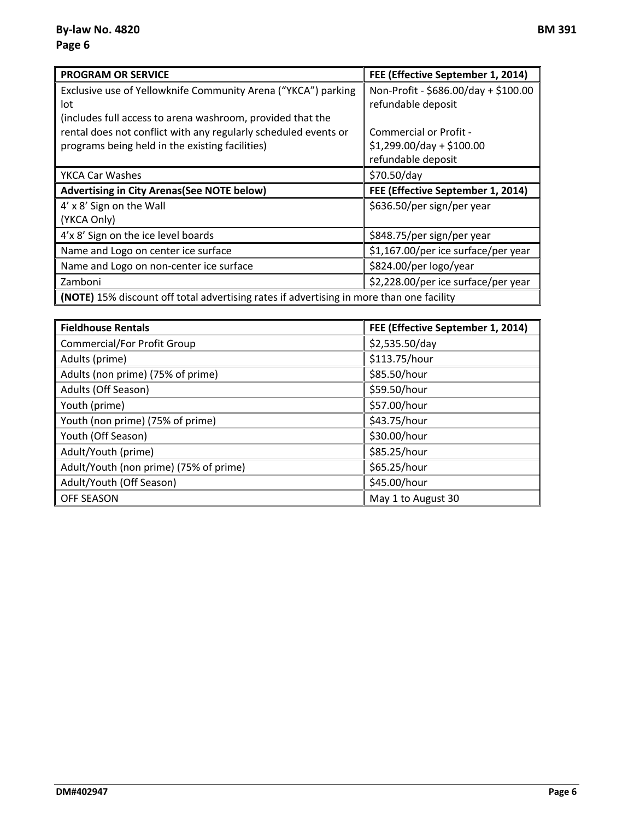| <b>PROGRAM OR SERVICE</b>                                                                | FEE (Effective September 1, 2014)    |  |
|------------------------------------------------------------------------------------------|--------------------------------------|--|
| Exclusive use of Yellowknife Community Arena ("YKCA") parking                            | Non-Profit - \$686.00/day + \$100.00 |  |
| lot                                                                                      | refundable deposit                   |  |
| (includes full access to arena washroom, provided that the                               |                                      |  |
| rental does not conflict with any regularly scheduled events or                          | Commercial or Profit -               |  |
| programs being held in the existing facilities)                                          | $$1,299.00/day + $100.00$            |  |
|                                                                                          | refundable deposit                   |  |
| YKCA Car Washes                                                                          | \$70.50/day                          |  |
| <b>Advertising in City Arenas (See NOTE below)</b>                                       | FEE (Effective September 1, 2014)    |  |
| 4' x 8' Sign on the Wall                                                                 | \$636.50/per sign/per year           |  |
| (YKCA Only)                                                                              |                                      |  |
| 4'x 8' Sign on the ice level boards                                                      | \$848.75/per sign/per year           |  |
| Name and Logo on center ice surface                                                      | \$1,167.00/per ice surface/per year  |  |
| Name and Logo on non-center ice surface                                                  | \$824.00/per logo/year               |  |
| Zamboni                                                                                  | \$2,228.00/per ice surface/per year  |  |
| (NOTE) 15% discount off total advertising rates if advertising in more than one facility |                                      |  |

| <b>Fieldhouse Rentals</b>              | FEE (Effective September 1, 2014) |
|----------------------------------------|-----------------------------------|
| <b>Commercial/For Profit Group</b>     | \$2,535.50/day                    |
| Adults (prime)                         | \$113.75/hour                     |
| Adults (non prime) (75% of prime)      | \$85.50/hour                      |
| Adults (Off Season)                    | \$59.50/hour                      |
| Youth (prime)                          | \$57.00/hour                      |
| Youth (non prime) (75% of prime)       | \$43.75/hour                      |
| Youth (Off Season)                     | \$30.00/hour                      |
| Adult/Youth (prime)                    | \$85.25/hour                      |
| Adult/Youth (non prime) (75% of prime) | \$65.25/hour                      |
| Adult/Youth (Off Season)               | \$45.00/hour                      |
| <b>OFF SEASON</b>                      | May 1 to August 30                |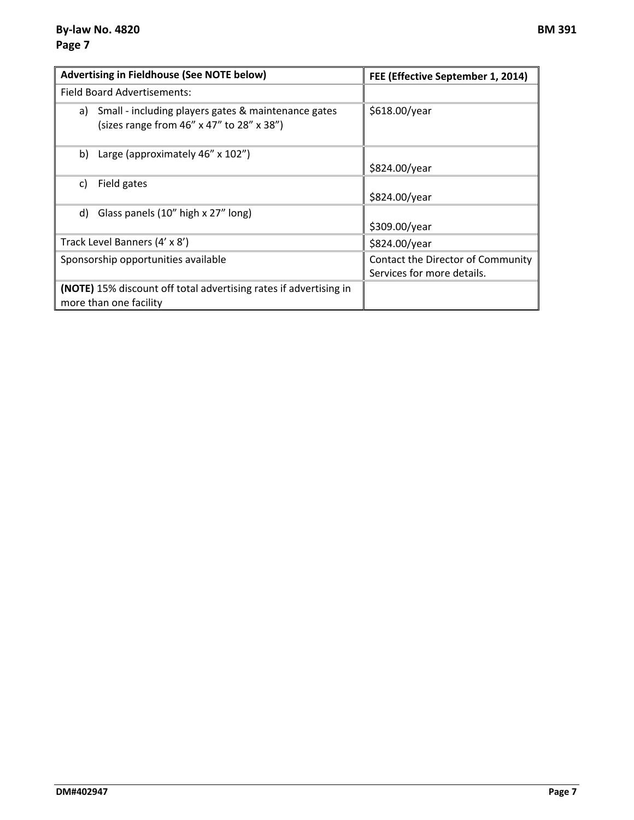| <b>Advertising in Fieldhouse (See NOTE below)</b>                                                      | FEE (Effective September 1, 2014) |
|--------------------------------------------------------------------------------------------------------|-----------------------------------|
| Field Board Advertisements:                                                                            |                                   |
| Small - including players gates & maintenance gates<br>a)<br>(sizes range from 46" x 47" to 28" x 38") | \$618.00/year                     |
| b) Large (approximately $46'' \times 102''$ )                                                          |                                   |
|                                                                                                        | \$824.00/year                     |
| Field gates<br>C)                                                                                      |                                   |
|                                                                                                        | \$824.00/year                     |
| Glass panels (10" high x 27" long)<br>d)                                                               |                                   |
|                                                                                                        | \$309.00/year                     |
| Track Level Banners (4' x 8')                                                                          | \$824.00/year                     |
| Sponsorship opportunities available                                                                    | Contact the Director of Community |
|                                                                                                        | Services for more details.        |
| <b>(NOTE)</b> 15% discount off total advertising rates if advertising in                               |                                   |
| more than one facility                                                                                 |                                   |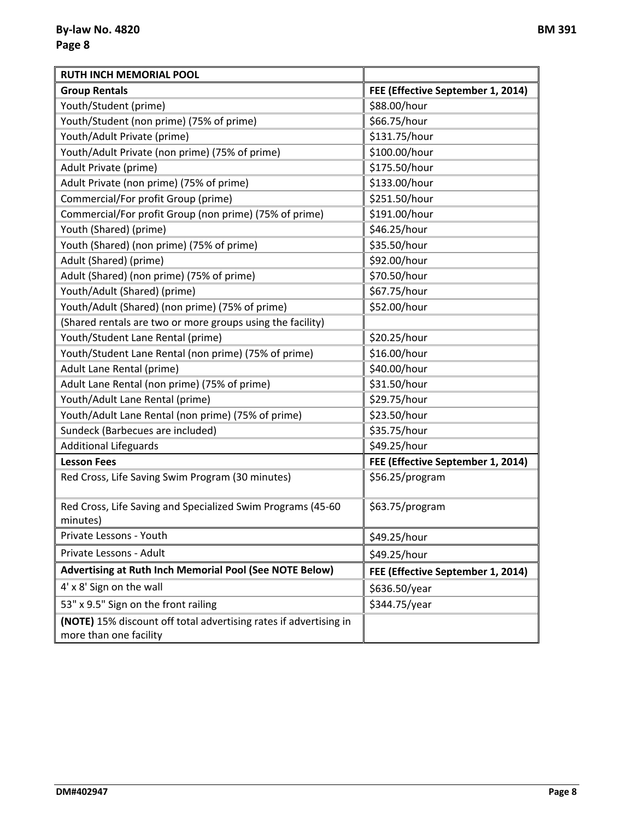| <b>RUTH INCH MEMORIAL POOL</b>                                                              |                                   |
|---------------------------------------------------------------------------------------------|-----------------------------------|
| <b>Group Rentals</b>                                                                        | FEE (Effective September 1, 2014) |
| Youth/Student (prime)                                                                       | \$88.00/hour                      |
| Youth/Student (non prime) (75% of prime)                                                    | \$66.75/hour                      |
| Youth/Adult Private (prime)                                                                 | \$131.75/hour                     |
| Youth/Adult Private (non prime) (75% of prime)                                              | \$100.00/hour                     |
| Adult Private (prime)                                                                       | \$175.50/hour                     |
| Adult Private (non prime) (75% of prime)                                                    | \$133.00/hour                     |
| Commercial/For profit Group (prime)                                                         | \$251.50/hour                     |
| Commercial/For profit Group (non prime) (75% of prime)                                      | \$191.00/hour                     |
| Youth (Shared) (prime)                                                                      | \$46.25/hour                      |
| Youth (Shared) (non prime) (75% of prime)                                                   | \$35.50/hour                      |
| Adult (Shared) (prime)                                                                      | \$92.00/hour                      |
| Adult (Shared) (non prime) (75% of prime)                                                   | \$70.50/hour                      |
| Youth/Adult (Shared) (prime)                                                                | \$67.75/hour                      |
| Youth/Adult (Shared) (non prime) (75% of prime)                                             | \$52.00/hour                      |
| (Shared rentals are two or more groups using the facility)                                  |                                   |
| Youth/Student Lane Rental (prime)                                                           | \$20.25/hour                      |
| Youth/Student Lane Rental (non prime) (75% of prime)                                        | \$16.00/hour                      |
| Adult Lane Rental (prime)                                                                   | \$40.00/hour                      |
| Adult Lane Rental (non prime) (75% of prime)                                                | \$31.50/hour                      |
| Youth/Adult Lane Rental (prime)                                                             | \$29.75/hour                      |
| Youth/Adult Lane Rental (non prime) (75% of prime)                                          | \$23.50/hour                      |
| Sundeck (Barbecues are included)                                                            | \$35.75/hour                      |
| <b>Additional Lifeguards</b>                                                                | \$49.25/hour                      |
| <b>Lesson Fees</b>                                                                          | FEE (Effective September 1, 2014) |
| Red Cross, Life Saving Swim Program (30 minutes)                                            | \$56.25/program                   |
| Red Cross, Life Saving and Specialized Swim Programs (45-60<br>minutes)                     | \$63.75/program                   |
| Private Lessons - Youth                                                                     | \$49.25/hour                      |
| Private Lessons - Adult                                                                     | \$49.25/hour                      |
| <b>Advertising at Ruth Inch Memorial Pool (See NOTE Below)</b>                              | FEE (Effective September 1, 2014) |
| 4' x 8' Sign on the wall                                                                    | \$636.50/year                     |
| 53" x 9.5" Sign on the front railing                                                        | \$344.75/year                     |
| (NOTE) 15% discount off total advertising rates if advertising in<br>more than one facility |                                   |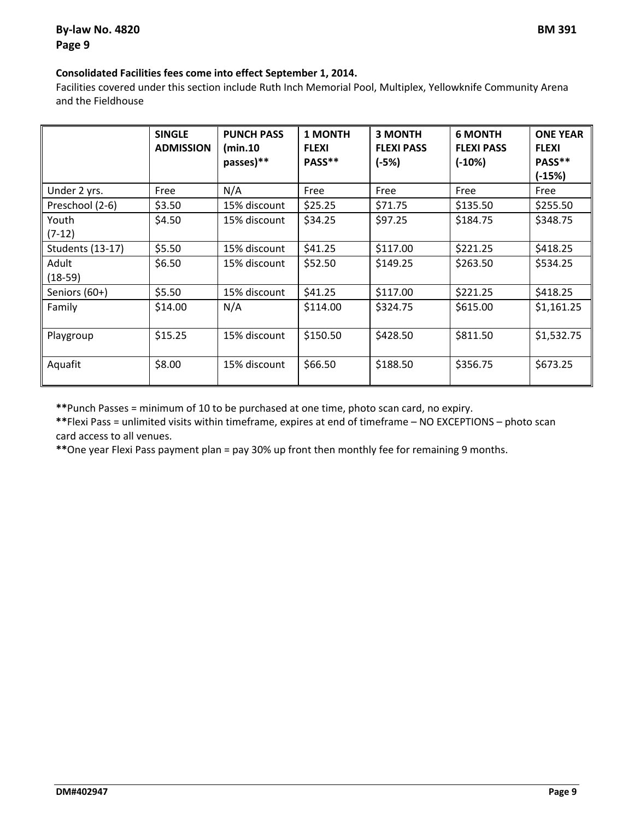#### **Consolidated Facilities fees come into effect September 1, 2014.**

Facilities covered under this section include Ruth Inch Memorial Pool, Multiplex, Yellowknife Community Arena and the Fieldhouse

|                         | <b>SINGLE</b><br><b>ADMISSION</b> | <b>PUNCH PASS</b><br>(min.10)<br>passes)** | <b>1 MONTH</b><br><b>FLEXI</b><br>PASS** | <b>3 MONTH</b><br><b>FLEXI PASS</b><br>$(-5%)$ | <b>6 MONTH</b><br><b>FLEXI PASS</b><br>$(-10%)$ | <b>ONE YEAR</b><br><b>FLEXI</b><br>PASS**<br>$(-15%)$ |
|-------------------------|-----------------------------------|--------------------------------------------|------------------------------------------|------------------------------------------------|-------------------------------------------------|-------------------------------------------------------|
| Under 2 yrs.            | Free                              | N/A                                        | Free                                     | Free                                           | Free                                            | Free                                                  |
| Preschool (2-6)         | \$3.50                            | 15% discount                               | \$25.25                                  | \$71.75                                        | \$135.50                                        | \$255.50                                              |
| Youth<br>$(7-12)$       | \$4.50                            | 15% discount                               | \$34.25                                  | \$97.25                                        | \$184.75                                        | \$348.75                                              |
| <b>Students (13-17)</b> | \$5.50                            | 15% discount                               | \$41.25                                  | \$117.00                                       | \$221.25                                        | \$418.25                                              |
| Adult<br>$(18-59)$      | \$6.50                            | 15% discount                               | \$52.50                                  | \$149.25                                       | \$263.50                                        | \$534.25                                              |
| Seniors (60+)           | \$5.50                            | 15% discount                               | \$41.25                                  | \$117.00                                       | \$221.25                                        | \$418.25                                              |
| Family                  | \$14.00                           | N/A                                        | \$114.00                                 | \$324.75                                       | \$615.00                                        | \$1,161.25                                            |
| Playgroup               | \$15.25                           | 15% discount                               | \$150.50                                 | \$428.50                                       | \$811.50                                        | \$1,532.75                                            |
| Aquafit                 | \$8.00                            | 15% discount                               | \$66.50                                  | \$188.50                                       | \$356.75                                        | \$673.25                                              |

**\*\***Punch Passes = minimum of 10 to be purchased at one time, photo scan card, no expiry.

**\*\***Flexi Pass = unlimited visits within timeframe, expires at end of timeframe – NO EXCEPTIONS – photo scan card access to all venues.

**\*\***One year Flexi Pass payment plan = pay 30% up front then monthly fee for remaining 9 months.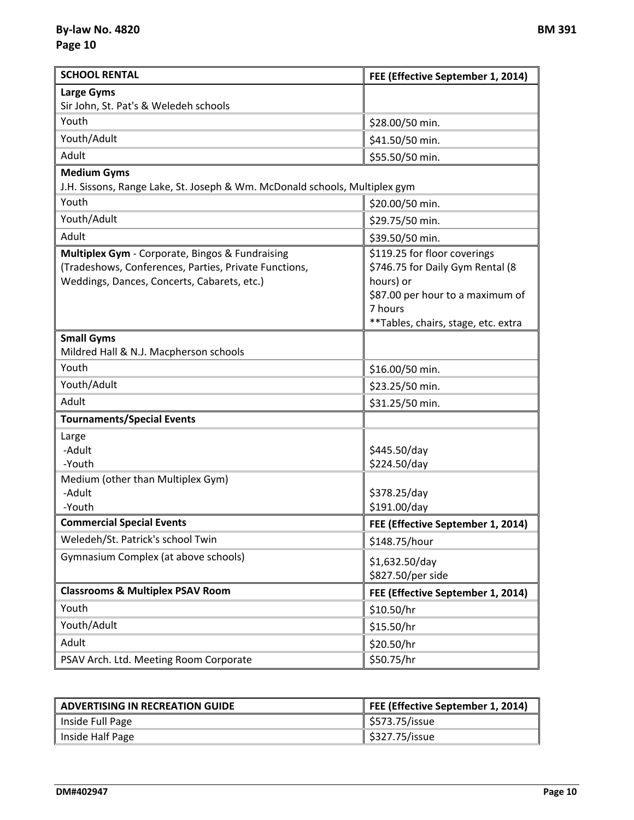| <b>SCHOOL RENTAL</b>                                                                                                                                    | FEE (Effective September 1, 2014)                                                                                                                                   |
|---------------------------------------------------------------------------------------------------------------------------------------------------------|---------------------------------------------------------------------------------------------------------------------------------------------------------------------|
| <b>Large Gyms</b>                                                                                                                                       |                                                                                                                                                                     |
| Sir John, St. Pat's & Weledeh schools                                                                                                                   |                                                                                                                                                                     |
| Youth                                                                                                                                                   | \$28.00/50 min.                                                                                                                                                     |
| Youth/Adult                                                                                                                                             | \$41.50/50 min.                                                                                                                                                     |
| Adult                                                                                                                                                   | \$55.50/50 min.                                                                                                                                                     |
| <b>Medium Gyms</b>                                                                                                                                      |                                                                                                                                                                     |
| J.H. Sissons, Range Lake, St. Joseph & Wm. McDonald schools, Multiplex gym                                                                              |                                                                                                                                                                     |
| Youth                                                                                                                                                   | \$20.00/50 min.                                                                                                                                                     |
| Youth/Adult                                                                                                                                             | \$29.75/50 min.                                                                                                                                                     |
| Adult                                                                                                                                                   | \$39.50/50 min.                                                                                                                                                     |
| Multiplex Gym - Corporate, Bingos & Fundraising<br>(Tradeshows, Conferences, Parties, Private Functions,<br>Weddings, Dances, Concerts, Cabarets, etc.) | \$119.25 for floor coverings<br>\$746.75 for Daily Gym Rental (8<br>hours) or<br>\$87.00 per hour to a maximum of<br>7 hours<br>**Tables, chairs, stage, etc. extra |
| <b>Small Gyms</b>                                                                                                                                       |                                                                                                                                                                     |
| Mildred Hall & N.J. Macpherson schools                                                                                                                  |                                                                                                                                                                     |
| Youth                                                                                                                                                   | \$16.00/50 min.                                                                                                                                                     |
| Youth/Adult                                                                                                                                             | \$23.25/50 min.                                                                                                                                                     |
| Adult                                                                                                                                                   | \$31.25/50 min.                                                                                                                                                     |
| <b>Tournaments/Special Events</b>                                                                                                                       |                                                                                                                                                                     |
| Large<br>-Adult<br>-Youth<br>Medium (other than Multiplex Gym)<br>-Adult<br>-Youth                                                                      | \$445.50/day<br>\$224.50/day<br>\$378.25/day<br>\$191.00/day                                                                                                        |
| <b>Commercial Special Events</b>                                                                                                                        | FEE (Effective September 1, 2014)                                                                                                                                   |
| Weledeh/St. Patrick's school Twin                                                                                                                       | \$148.75/hour                                                                                                                                                       |
| Gymnasium Complex (at above schools)                                                                                                                    | \$1,632.50/day<br>\$827.50/per side                                                                                                                                 |
| <b>Classrooms &amp; Multiplex PSAV Room</b>                                                                                                             | FEE (Effective September 1, 2014)                                                                                                                                   |
| Youth                                                                                                                                                   | \$10.50/hr                                                                                                                                                          |
| Youth/Adult                                                                                                                                             | \$15.50/hr                                                                                                                                                          |
| Adult                                                                                                                                                   | \$20.50/hr                                                                                                                                                          |
| PSAV Arch. Ltd. Meeting Room Corporate                                                                                                                  | \$50.75/hr                                                                                                                                                          |

| <b>ADVERTISING IN RECREATION GUIDE</b> | FEE (Effective September 1, 2014) |
|----------------------------------------|-----------------------------------|
| Inside Full Page                       | $\frac{1}{2}$ \$573.75/issue      |
| Inside Half Page                       | \$327.75/issue \$                 |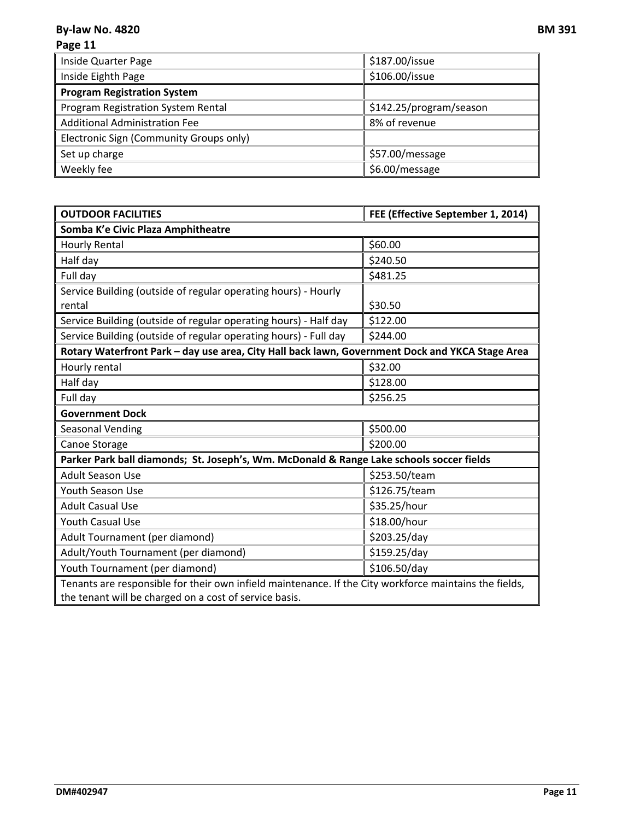### **By‐law No. 4820 BM 391 Page 11**

| Inside Quarter Page                     | \$187.00/issue          |
|-----------------------------------------|-------------------------|
| Inside Eighth Page                      | \$106.00/issue          |
| <b>Program Registration System</b>      |                         |
| Program Registration System Rental      | \$142.25/program/season |
| <b>Additional Administration Fee</b>    | 8% of revenue           |
| Electronic Sign (Community Groups only) |                         |
| Set up charge                           | \$57.00/message         |
| Weekly fee                              | \$6.00/message          |

| <b>OUTDOOR FACILITIES</b>                                                                              | FEE (Effective September 1, 2014) |  |
|--------------------------------------------------------------------------------------------------------|-----------------------------------|--|
| Somba K'e Civic Plaza Amphitheatre                                                                     |                                   |  |
| <b>Hourly Rental</b>                                                                                   | \$60.00                           |  |
| Half day                                                                                               | \$240.50                          |  |
| Full day                                                                                               | \$481.25                          |  |
| Service Building (outside of regular operating hours) - Hourly                                         |                                   |  |
| rental                                                                                                 | \$30.50                           |  |
| Service Building (outside of regular operating hours) - Half day                                       | \$122.00                          |  |
| Service Building (outside of regular operating hours) - Full day                                       | \$244.00                          |  |
| Rotary Waterfront Park - day use area, City Hall back lawn, Government Dock and YKCA Stage Area        |                                   |  |
| Hourly rental                                                                                          | \$32.00                           |  |
| Half day                                                                                               | \$128.00                          |  |
| Full day                                                                                               | \$256.25                          |  |
| <b>Government Dock</b>                                                                                 |                                   |  |
| <b>Seasonal Vending</b>                                                                                | \$500.00                          |  |
| Canoe Storage                                                                                          | \$200.00                          |  |
| Parker Park ball diamonds; St. Joseph's, Wm. McDonald & Range Lake schools soccer fields               |                                   |  |
| <b>Adult Season Use</b>                                                                                | \$253.50/team                     |  |
| <b>Youth Season Use</b>                                                                                | \$126.75/team                     |  |
| <b>Adult Casual Use</b>                                                                                | \$35.25/hour                      |  |
| <b>Youth Casual Use</b>                                                                                | \$18.00/hour                      |  |
| Adult Tournament (per diamond)                                                                         | \$203.25/day                      |  |
| Adult/Youth Tournament (per diamond)                                                                   | \$159.25/day                      |  |
| Youth Tournament (per diamond)                                                                         | \$106.50/day                      |  |
| Tenants are responsible for their own infield maintenance. If the City workforce maintains the fields, |                                   |  |
| the tenant will be charged on a cost of service basis.                                                 |                                   |  |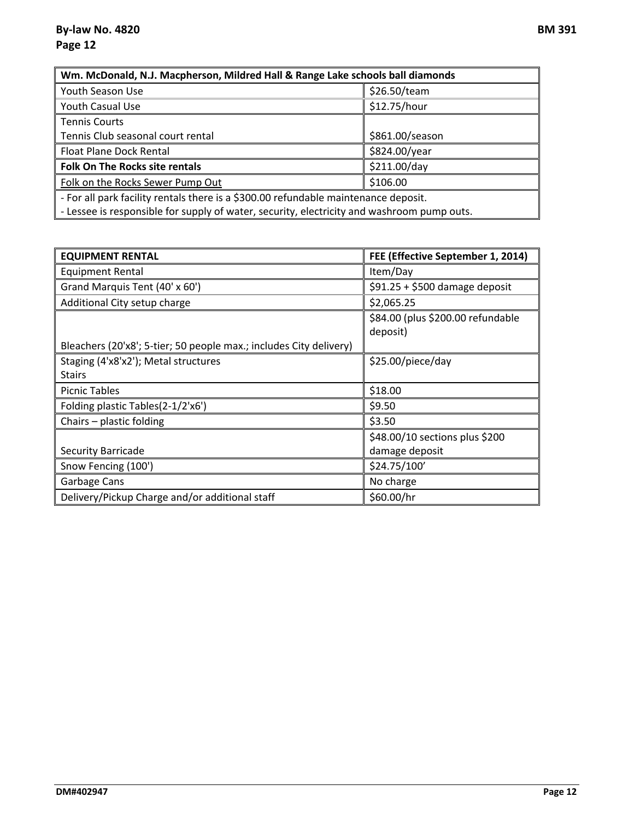| Wm. McDonald, N.J. Macpherson, Mildred Hall & Range Lake schools ball diamonds             |                 |  |
|--------------------------------------------------------------------------------------------|-----------------|--|
| Youth Season Use                                                                           | \$26.50/team    |  |
| Youth Casual Use                                                                           | \$12.75/hour    |  |
| <b>Tennis Courts</b>                                                                       |                 |  |
| Tennis Club seasonal court rental                                                          | \$861.00/season |  |
| Float Plane Dock Rental                                                                    | \$824.00/year   |  |
| \$211.00/day<br><b>Folk On The Rocks site rentals</b>                                      |                 |  |
| \$106.00<br>Folk on the Rocks Sewer Pump Out                                               |                 |  |
| - For all park facility rentals there is a \$300.00 refundable maintenance deposit.        |                 |  |
| - Lessee is responsible for supply of water, security, electricity and washroom pump outs. |                 |  |

| <b>EQUIPMENT RENTAL</b>                                            | FEE (Effective September 1, 2014)             |
|--------------------------------------------------------------------|-----------------------------------------------|
| <b>Equipment Rental</b>                                            | Item/Day                                      |
| Grand Marquis Tent (40' x 60')                                     | $$91.25 + $500$ damage deposit                |
| Additional City setup charge                                       | \$2,065.25                                    |
|                                                                    | \$84.00 (plus \$200.00 refundable<br>deposit) |
| Bleachers (20'x8'; 5-tier; 50 people max.; includes City delivery) |                                               |
| Staging (4'x8'x2'); Metal structures                               | \$25.00/piece/day                             |
| <b>Stairs</b>                                                      |                                               |
| <b>Picnic Tables</b>                                               | \$18.00                                       |
| Folding plastic Tables(2-1/2'x6')                                  | \$9.50                                        |
| Chairs $-$ plastic folding                                         | \$3.50                                        |
|                                                                    | \$48.00/10 sections plus \$200                |
| <b>Security Barricade</b>                                          | damage deposit                                |
| Snow Fencing (100')                                                | \$24.75/100                                   |
| Garbage Cans                                                       | No charge                                     |
| Delivery/Pickup Charge and/or additional staff                     | \$60.00/hr                                    |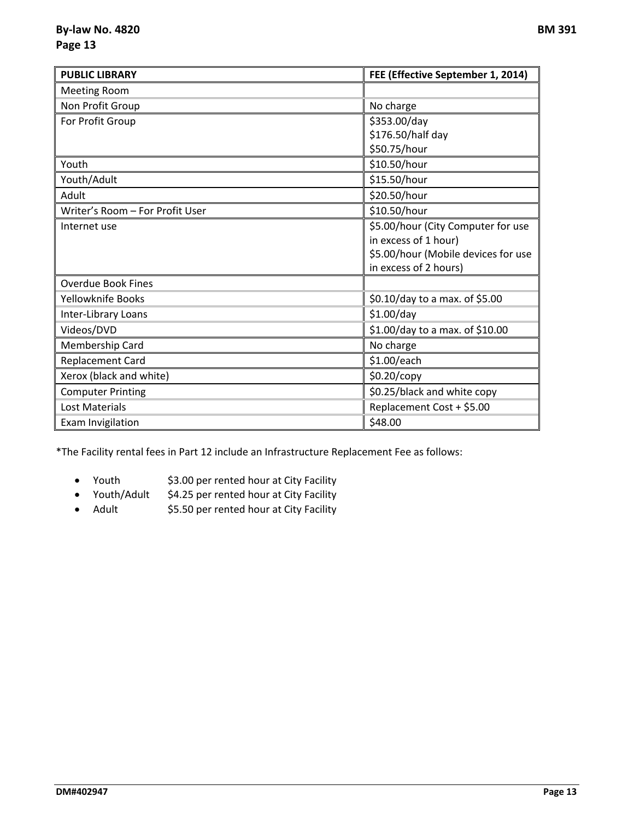| <b>PUBLIC LIBRARY</b>           | FEE (Effective September 1, 2014)   |
|---------------------------------|-------------------------------------|
| <b>Meeting Room</b>             |                                     |
| Non Profit Group                | No charge                           |
| For Profit Group                | \$353.00/day                        |
|                                 | \$176.50/half day                   |
|                                 | \$50.75/hour                        |
| Youth                           | \$10.50/hour                        |
| Youth/Adult                     | \$15.50/hour                        |
| Adult                           | \$20.50/hour                        |
| Writer's Room - For Profit User | \$10.50/hour                        |
| Internet use                    | \$5.00/hour (City Computer for use  |
|                                 | in excess of 1 hour)                |
|                                 | \$5.00/hour (Mobile devices for use |
|                                 | in excess of 2 hours)               |
| <b>Overdue Book Fines</b>       |                                     |
| Yellowknife Books               | \$0.10/day to a max. of \$5.00      |
| Inter-Library Loans             | \$1.00/day                          |
| Videos/DVD                      | \$1.00/day to a max. of \$10.00     |
| Membership Card                 | No charge                           |
| Replacement Card                | \$1.00/each                         |
| Xerox (black and white)         | \$0.20/copy                         |
| <b>Computer Printing</b>        | \$0.25/black and white copy         |
| Lost Materials                  | Replacement Cost + \$5.00           |
| Exam Invigilation               | \$48.00                             |

\*The Facility rental fees in Part 12 include an Infrastructure Replacement Fee as follows:

- Youth \$3.00 per rented hour at City Facility
- Youth/Adult \$4.25 per rented hour at City Facility
- Adult \$5.50 per rented hour at City Facility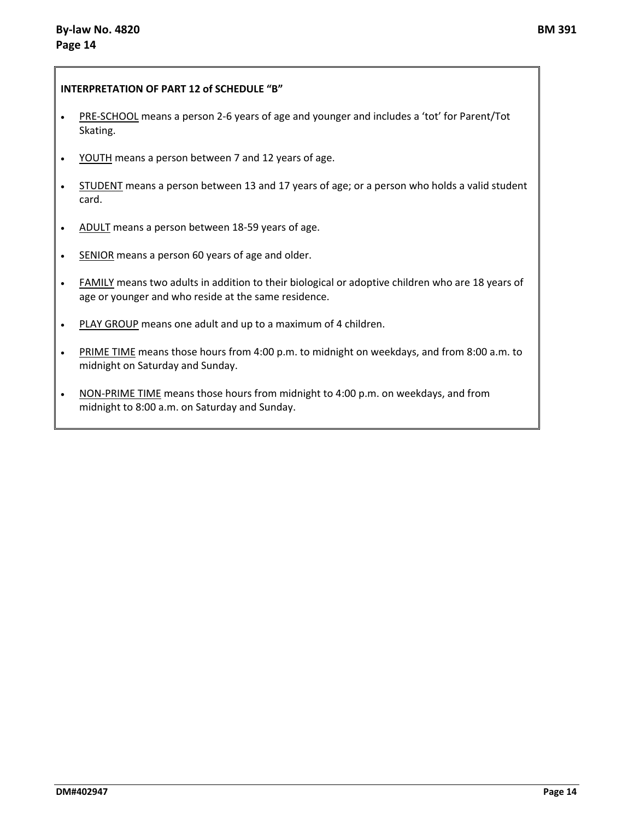#### **INTERPRETATION OF PART 12 of SCHEDULE "B"**

- PRE-SCHOOL means a person 2-6 years of age and younger and includes a 'tot' for Parent/Tot Skating.
- YOUTH means a person between 7 and 12 years of age.
- **STUDENT** means a person between 13 and 17 years of age; or a person who holds a valid student card.
- ADULT means a person between 18-59 years of age.
- SENIOR means a person 60 years of age and older.
- FAMILY means two adults in addition to their biological or adoptive children who are 18 years of age or younger and who reside at the same residence.
- PLAY GROUP means one adult and up to a maximum of 4 children.
- PRIME TIME means those hours from 4:00 p.m. to midnight on weekdays, and from 8:00 a.m. to midnight on Saturday and Sunday.
- NON-PRIME TIME means those hours from midnight to 4:00 p.m. on weekdays, and from midnight to 8:00 a.m. on Saturday and Sunday.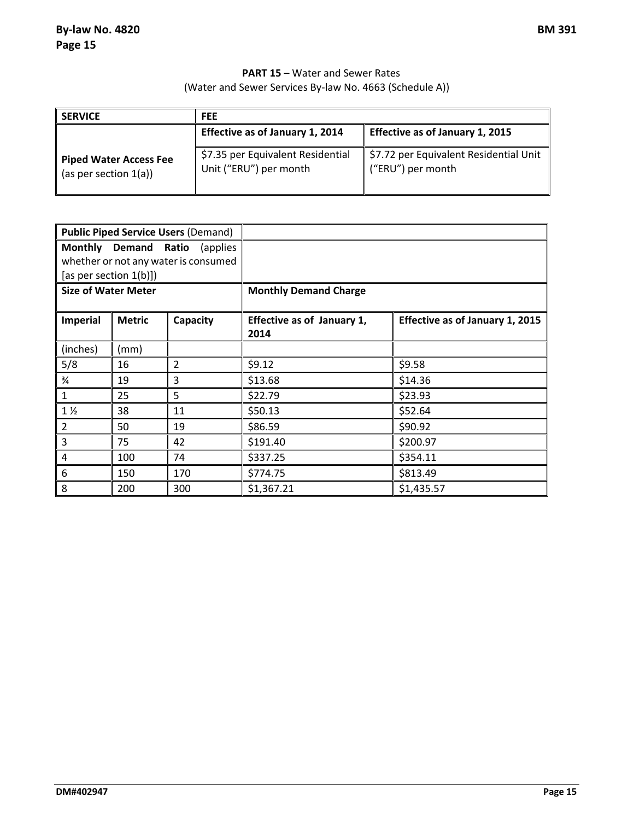### **PART 15** – Water and Sewer Rates (Water and Sewer Services By‐law No. 4663 (Schedule A))

| <b>SERVICE</b>                                            | <b>FEE</b>                                                  |                                                             |  |
|-----------------------------------------------------------|-------------------------------------------------------------|-------------------------------------------------------------|--|
|                                                           | Effective as of January 1, 2014                             | Effective as of January 1, 2015                             |  |
| <b>Piped Water Access Fee</b><br>(as per section $1(a)$ ) | \$7.35 per Equivalent Residential<br>Unit ("ERU") per month | \$7.72 per Equivalent Residential Unit<br>("ERU") per month |  |

|                            |                      | <b>Public Piped Service Users (Demand)</b>        |                                    |                                        |
|----------------------------|----------------------|---------------------------------------------------|------------------------------------|----------------------------------------|
| [as per section $1(b)$ ])  | Monthly Demand Ratio | (applies)<br>whether or not any water is consumed |                                    |                                        |
| <b>Size of Water Meter</b> |                      |                                                   | <b>Monthly Demand Charge</b>       |                                        |
| Imperial                   | <b>Metric</b>        | Capacity                                          | Effective as of January 1,<br>2014 | <b>Effective as of January 1, 2015</b> |
| (inches)                   | (mm)                 |                                                   |                                    |                                        |
| 5/8                        | 16                   | $\overline{2}$                                    | \$9.12                             | \$9.58                                 |
| $\frac{3}{4}$              | 19                   | 3                                                 | \$13.68                            | \$14.36                                |
| $\mathbf 1$                | 25                   | 5                                                 | \$22.79                            | \$23.93                                |
| $1\frac{1}{2}$             | 38                   | 11                                                | \$50.13                            | \$52.64                                |
| $\overline{2}$             | 50                   | 19                                                | \$86.59                            | \$90.92                                |
| $\overline{3}$             | 75                   | 42                                                | \$191.40                           | \$200.97                               |
| $\overline{4}$             | 100                  | 74                                                | \$337.25                           | \$354.11                               |
| 6                          | 150                  | 170                                               | \$774.75                           | \$813.49                               |
| 8                          | 200                  | 300                                               | \$1,367.21                         | \$1,435.57                             |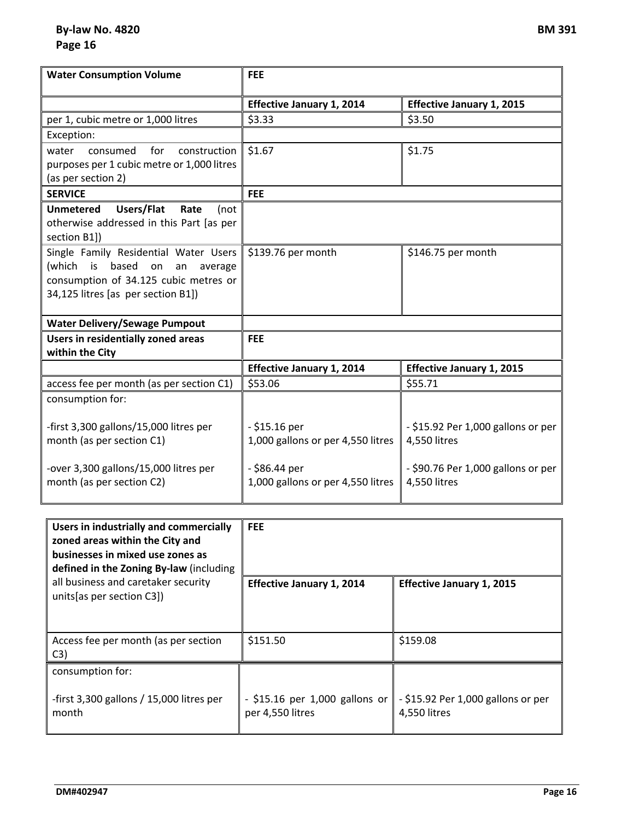| <b>Water Consumption Volume</b>                                             | <b>FEE</b>                        |                                      |
|-----------------------------------------------------------------------------|-----------------------------------|--------------------------------------|
|                                                                             | <b>Effective January 1, 2014</b>  | <b>Effective January 1, 2015</b>     |
| per 1, cubic metre or 1,000 litres                                          | \$3.33                            | \$3.50                               |
| Exception:                                                                  |                                   |                                      |
| for<br>water<br>consumed<br>construction                                    | \$1.67                            | \$1.75                               |
| purposes per 1 cubic metre or 1,000 litres                                  |                                   |                                      |
| (as per section 2)                                                          |                                   |                                      |
| <b>SERVICE</b>                                                              | <b>FEE</b>                        |                                      |
| <b>Unmetered</b><br>Users/Flat<br>Rate<br>(not                              |                                   |                                      |
| otherwise addressed in this Part [as per                                    |                                   |                                      |
| section B1])                                                                |                                   |                                      |
| Single Family Residential Water Users                                       | \$139.76 per month                | \$146.75 per month                   |
| (which<br>based<br>is<br>on<br>an<br>average                                |                                   |                                      |
| consumption of 34.125 cubic metres or<br>34,125 litres [as per section B1]) |                                   |                                      |
|                                                                             |                                   |                                      |
| <b>Water Delivery/Sewage Pumpout</b>                                        |                                   |                                      |
| Users in residentially zoned areas                                          | <b>FEE</b>                        |                                      |
| within the City                                                             |                                   |                                      |
|                                                                             | <b>Effective January 1, 2014</b>  | <b>Effective January 1, 2015</b>     |
| access fee per month (as per section C1)                                    | \$53.06                           | \$55.71                              |
| consumption for:                                                            |                                   |                                      |
| -first 3,300 gallons/15,000 litres per                                      | $-$ \$15.16 per                   | $-$ \$15.92 Per 1,000 gallons or per |
| month (as per section C1)                                                   | 1,000 gallons or per 4,550 litres | 4,550 litres                         |
|                                                                             |                                   |                                      |
| -over 3,300 gallons/15,000 litres per                                       | - \$86.44 per                     | $-$ \$90.76 Per 1,000 gallons or per |
| month (as per section C2)                                                   | 1,000 gallons or per 4,550 litres | 4,550 litres                         |
|                                                                             |                                   |                                      |

| Users in industrially and commercially<br>zoned areas within the City and<br>businesses in mixed use zones as<br>defined in the Zoning By-law (including | <b>FEE</b>                                           |                                                      |
|----------------------------------------------------------------------------------------------------------------------------------------------------------|------------------------------------------------------|------------------------------------------------------|
| all business and caretaker security<br>units[as per section C3])                                                                                         | <b>Effective January 1, 2014</b>                     | <b>Effective January 1, 2015</b>                     |
| Access fee per month (as per section<br>C3)                                                                                                              | \$151.50                                             | \$159.08                                             |
| consumption for:                                                                                                                                         |                                                      |                                                      |
| -first 3,300 gallons / 15,000 litres per<br>month                                                                                                        | $-$ \$15.16 per 1,000 gallons or<br>per 4,550 litres | $-$ \$15.92 Per 1,000 gallons or per<br>4,550 litres |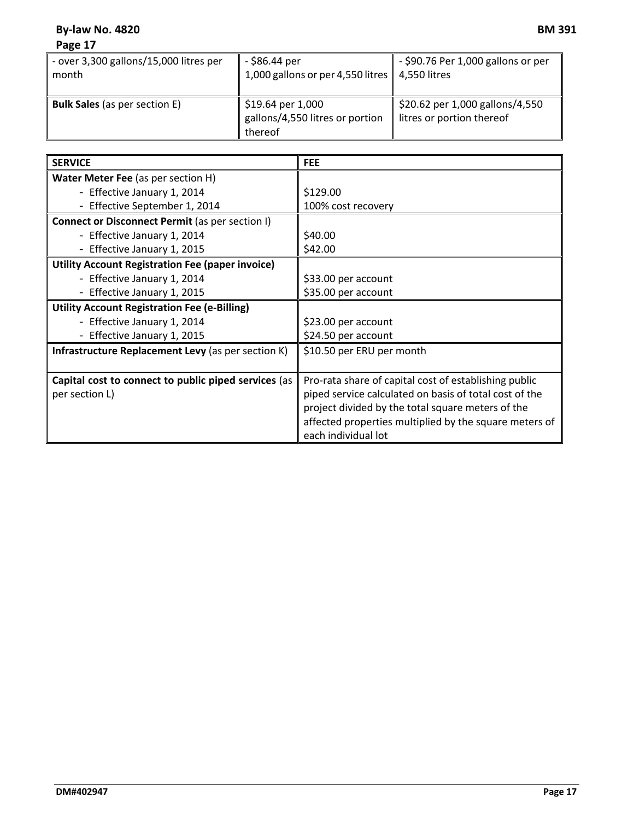**By‐law No. 4820 BM 391 Page 17**

| - over 3,300 gallons/15,000 litres per<br>month | - \$86.44 per<br>1,000 gallons or per 4,550 litres   4,550 litres | - \$90.76 Per 1,000 gallons or per                                   |
|-------------------------------------------------|-------------------------------------------------------------------|----------------------------------------------------------------------|
| <b>Bulk Sales</b> (as per section E)            | ∫ \$19.64 per 1,000<br>gallons/4,550 litres or portion<br>thereof | $\vert$ \$20.62 per 1,000 gallons/4,550<br>litres or portion thereof |

| <b>SERVICE</b>                                          | <b>FEE</b>                                             |
|---------------------------------------------------------|--------------------------------------------------------|
| Water Meter Fee (as per section H)                      |                                                        |
| - Effective January 1, 2014                             | \$129.00                                               |
| - Effective September 1, 2014                           | 100% cost recovery                                     |
| Connect or Disconnect Permit (as per section I)         |                                                        |
| - Effective January 1, 2014                             | \$40.00                                                |
| - Effective January 1, 2015                             | \$42.00                                                |
| <b>Utility Account Registration Fee (paper invoice)</b> |                                                        |
| - Effective January 1, 2014                             | \$33.00 per account                                    |
| - Effective January 1, 2015                             | \$35.00 per account                                    |
| <b>Utility Account Registration Fee (e-Billing)</b>     |                                                        |
| - Effective January 1, 2014                             | \$23.00 per account                                    |
| - Effective January 1, 2015                             | \$24.50 per account                                    |
| Infrastructure Replacement Levy (as per section K)      | \$10.50 per ERU per month                              |
|                                                         |                                                        |
| Capital cost to connect to public piped services (as    | Pro-rata share of capital cost of establishing public  |
| per section L)                                          | piped service calculated on basis of total cost of the |
|                                                         | project divided by the total square meters of the      |
|                                                         | affected properties multiplied by the square meters of |
|                                                         | each individual lot                                    |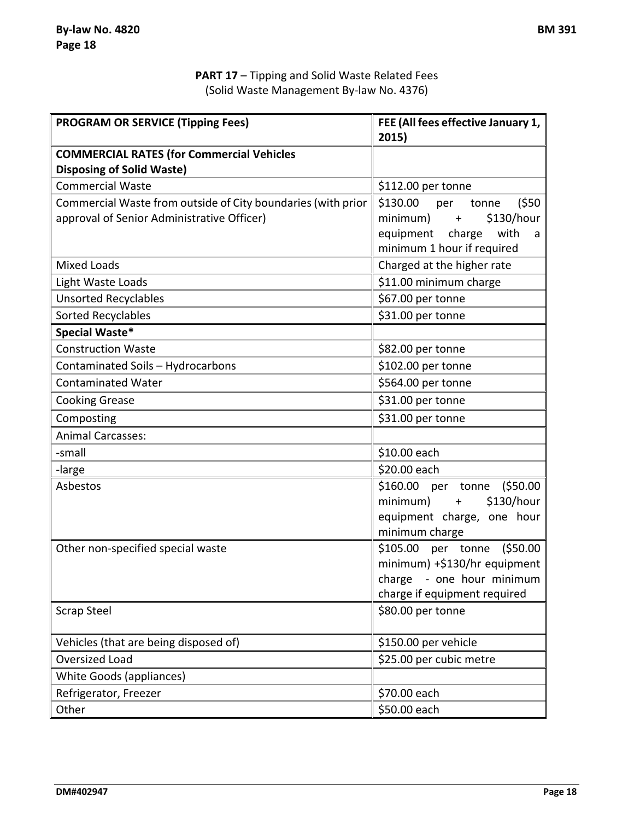| <b>PROGRAM OR SERVICE (Tipping Fees)</b>                     | FEE (All fees effective January 1, |
|--------------------------------------------------------------|------------------------------------|
|                                                              | 2015)                              |
| <b>COMMERCIAL RATES (for Commercial Vehicles</b>             |                                    |
| <b>Disposing of Solid Waste)</b>                             |                                    |
| <b>Commercial Waste</b>                                      | \$112.00 per tonne                 |
| Commercial Waste from outside of City boundaries (with prior | \$130.00<br>(550)<br>per<br>tonne  |
| approval of Senior Administrative Officer)                   | \$130/hour<br>minimum)<br>$+$      |
|                                                              | with<br>equipment<br>charge<br>a   |
|                                                              | minimum 1 hour if required         |
| <b>Mixed Loads</b>                                           | Charged at the higher rate         |
| Light Waste Loads                                            | \$11.00 minimum charge             |
| <b>Unsorted Recyclables</b>                                  | \$67.00 per tonne                  |
| <b>Sorted Recyclables</b>                                    | \$31.00 per tonne                  |
| Special Waste*                                               |                                    |
| <b>Construction Waste</b>                                    | \$82.00 per tonne                  |
| Contaminated Soils - Hydrocarbons                            | \$102.00 per tonne                 |
| <b>Contaminated Water</b>                                    | \$564.00 per tonne                 |
| <b>Cooking Grease</b>                                        | \$31.00 per tonne                  |
| Composting                                                   | \$31.00 per tonne                  |
| <b>Animal Carcasses:</b>                                     |                                    |
| -small                                                       | \$10.00 each                       |
| -large                                                       | \$20.00 each                       |
| Asbestos                                                     | \$160.00 per tonne (\$50.00        |
|                                                              | \$130/hour<br>minimum)<br>$+$      |
|                                                              | equipment charge, one hour         |
|                                                              | minimum charge                     |
| Other non-specified special waste                            | \$105.00 per tonne (\$50.00        |
|                                                              | minimum) +\$130/hr equipment       |
|                                                              | charge - one hour minimum          |
|                                                              | charge if equipment required       |
| <b>Scrap Steel</b>                                           | \$80.00 per tonne                  |
| Vehicles (that are being disposed of)                        | \$150.00 per vehicle               |
| <b>Oversized Load</b>                                        | \$25.00 per cubic metre            |
| White Goods (appliances)                                     |                                    |
| Refrigerator, Freezer                                        | \$70.00 each                       |
| Other                                                        | \$50.00 each                       |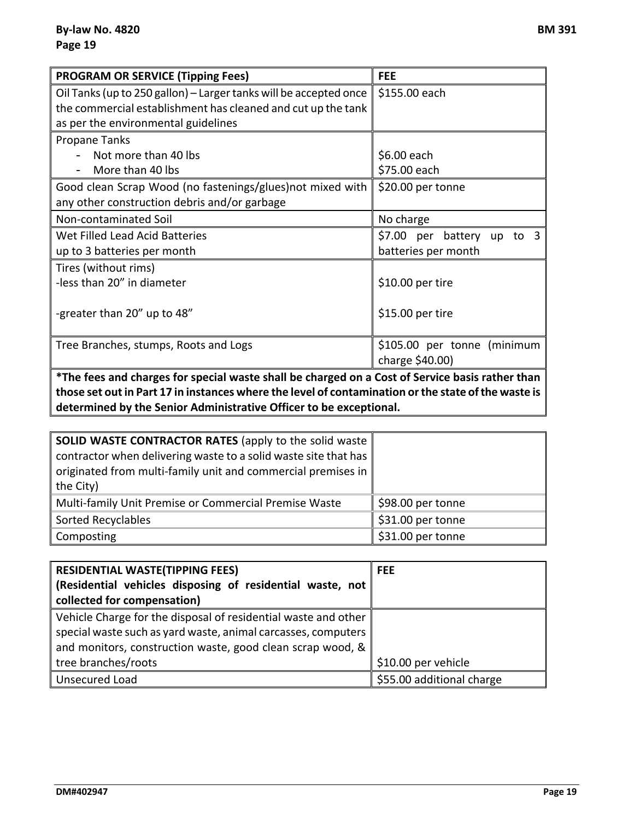| <b>PROGRAM OR SERVICE (Tipping Fees)</b>                                                       | <b>FEE</b>                  |
|------------------------------------------------------------------------------------------------|-----------------------------|
| Oil Tanks (up to 250 gallon) - Larger tanks will be accepted once                              | \$155.00 each               |
| the commercial establishment has cleaned and cut up the tank                                   |                             |
| as per the environmental guidelines                                                            |                             |
| <b>Propane Tanks</b>                                                                           |                             |
| Not more than 40 lbs                                                                           | \$6.00 each                 |
| More than 40 lbs                                                                               | \$75.00 each                |
| Good clean Scrap Wood (no fastenings/glues) not mixed with                                     | \$20.00 per tonne           |
| any other construction debris and/or garbage                                                   |                             |
| Non-contaminated Soil                                                                          | No charge                   |
| Wet Filled Lead Acid Batteries                                                                 | \$7.00 per battery up to 3  |
| up to 3 batteries per month                                                                    | batteries per month         |
| Tires (without rims)                                                                           |                             |
| -less than 20" in diameter                                                                     | \$10.00 per tire            |
|                                                                                                |                             |
| -greater than 20" up to 48"                                                                    | \$15.00 per tire            |
|                                                                                                |                             |
| Tree Branches, stumps, Roots and Logs                                                          | \$105.00 per tonne (minimum |
|                                                                                                | charge \$40.00)             |
| The fees and charges for special waste shall be charged on a Cost of Service basis rather than |                             |

**\*The fees and charges for special waste shall be charged on a Cost of Service basis rather than those set outin Part 17 in instances where the level of contamination orthe state ofthe waste is determined by the Senior Administrative Officer to be exceptional.** 

| <b>SOLID WASTE CONTRACTOR RATES (apply to the solid waste</b>   |                   |
|-----------------------------------------------------------------|-------------------|
| contractor when delivering waste to a solid waste site that has |                   |
| originated from multi-family unit and commercial premises in    |                   |
| the City)                                                       |                   |
| Multi-family Unit Premise or Commercial Premise Waste           | \$98.00 per tonne |
| Sorted Recyclables                                              | \$31.00 per tonne |
| Composting                                                      | \$31.00 per tonne |

| <b>RESIDENTIAL WASTE(TIPPING FEES)</b>                         | <b>FEE</b>                |
|----------------------------------------------------------------|---------------------------|
| (Residential vehicles disposing of residential waste, not      |                           |
| collected for compensation)                                    |                           |
| Vehicle Charge for the disposal of residential waste and other |                           |
| special waste such as yard waste, animal carcasses, computers  |                           |
| and monitors, construction waste, good clean scrap wood, &     |                           |
| tree branches/roots                                            | \$10.00 per vehicle       |
| Unsecured Load                                                 | \$55.00 additional charge |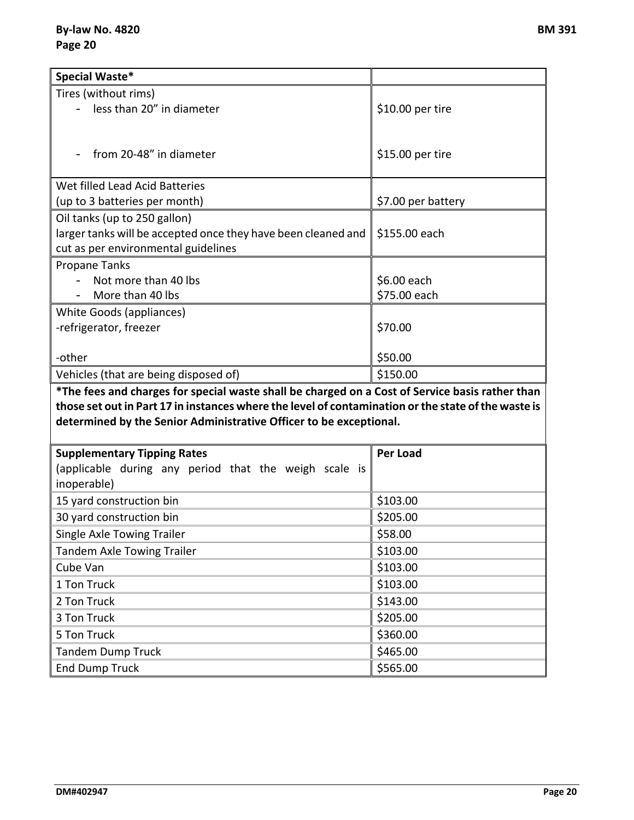| Special Waste*                                                                                      |                    |
|-----------------------------------------------------------------------------------------------------|--------------------|
| Tires (without rims)                                                                                |                    |
| less than 20" in diameter                                                                           | \$10.00 per tire   |
|                                                                                                     |                    |
|                                                                                                     |                    |
| from 20-48" in diameter                                                                             | \$15.00 per tire   |
| Wet filled Lead Acid Batteries                                                                      |                    |
| (up to 3 batteries per month)                                                                       | \$7.00 per battery |
| Oil tanks (up to 250 gallon)                                                                        |                    |
| larger tanks will be accepted once they have been cleaned and                                       | \$155.00 each      |
| cut as per environmental guidelines                                                                 |                    |
| Propane Tanks                                                                                       |                    |
| Not more than 40 lbs                                                                                | \$6.00 each        |
| More than 40 lbs                                                                                    | \$75.00 each       |
| White Goods (appliances)                                                                            |                    |
| -refrigerator, freezer                                                                              | \$70.00            |
|                                                                                                     |                    |
| -other                                                                                              | \$50.00            |
| Vehicles (that are being disposed of)                                                               | \$150.00           |
| *The fees and charges for special waste shall be charged on a Cost of Service basis rather than     |                    |
| those set out in Part 17 in instances where the level of contamination or the state of the waste is |                    |
| determined by the Senior Administrative Officer to be exceptional.                                  |                    |
| <b>Supplementary Tipping Rates</b>                                                                  | <b>Per Load</b>    |
| (applicable during any period that the weigh scale is                                               |                    |
| inoperable)                                                                                         |                    |
| 15 yard construction bin                                                                            | \$103.00           |
| 30 yard construction bin                                                                            | \$205.00           |
| Single Axle Towing Trailer                                                                          | \$58.00            |
| Tandem Axle Towing Trailer                                                                          | \$103.00           |
| Cube Van                                                                                            | \$103.00           |
| 1 Ton Truck                                                                                         | \$103.00           |
| 2 Ton Truck                                                                                         | \$143.00           |
| 3 Ton Truck                                                                                         | \$205.00           |
| 5 Ton Truck                                                                                         | \$360.00           |
| <b>Tandem Dump Truck</b>                                                                            | \$465.00           |

End Dump Truck \$565.00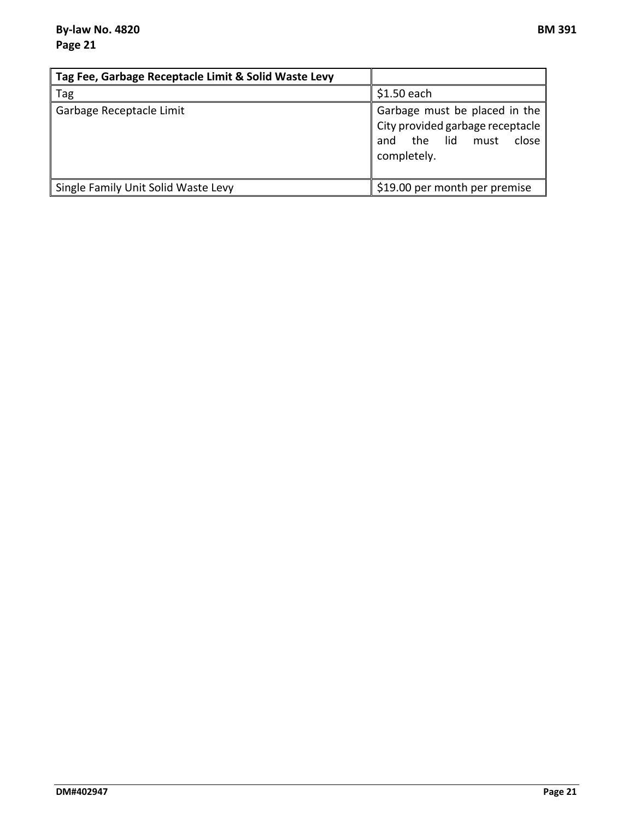| Tag Fee, Garbage Receptacle Limit & Solid Waste Levy |                                                                                                                  |
|------------------------------------------------------|------------------------------------------------------------------------------------------------------------------|
| Tag                                                  | $$1.50$ each                                                                                                     |
| Garbage Receptacle Limit                             | Garbage must be placed in the<br>City provided garbage receptacle<br>and the lid<br>must<br>close<br>completely. |
| Single Family Unit Solid Waste Levy                  | \$19.00 per month per premise                                                                                    |